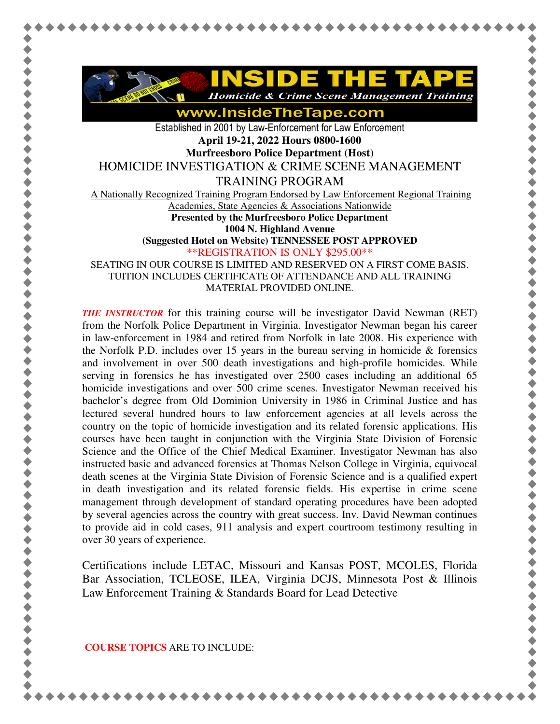

www.InsideTheTape.com

Established in 2001 by Law-Enforcement for Law Enforcement **April 19-21, 2022 Hours 0800-1600 Murfreesboro Police Department (Host)**  HOMICIDE INVESTIGATION & CRIME SCENE MANAGEMENT TRAINING PROGRAM A Nationally Recognized Training Program Endorsed by Law Enforcement Regional Training Academies, State Agencies & Associations Nationwide **Presented by the Murfreesboro Police Department 1004 N. Highland Avenue (Suggested Hotel on Website) TENNESSEE POST APPROVED** \*\*REGISTRATION IS ONLY \$295.00\*\* SEATING IN OUR COURSE IS LIMITED AND RESERVED ON A FIRST COME BASIS. TUITION INCLUDES CERTIFICATE OF ATTENDANCE AND ALL TRAINING

MATERIAL PROVIDED ONLINE.

*THE INSTRUCTOR* for this training course will be investigator David Newman (RET) from the Norfolk Police Department in Virginia. Investigator Newman began his career in law-enforcement in 1984 and retired from Norfolk in late 2008. His experience with the Norfolk P.D. includes over 15 years in the bureau serving in homicide  $\&$  forensics and involvement in over 500 death investigations and high-profile homicides. While serving in forensics he has investigated over 2500 cases including an additional 65 homicide investigations and over 500 crime scenes. Investigator Newman received his bachelor's degree from Old Dominion University in 1986 in Criminal Justice and has lectured several hundred hours to law enforcement agencies at all levels across the country on the topic of homicide investigation and its related forensic applications. His courses have been taught in conjunction with the Virginia State Division of Forensic Science and the Office of the Chief Medical Examiner. Investigator Newman has also instructed basic and advanced forensics at Thomas Nelson College in Virginia, equivocal death scenes at the Virginia State Division of Forensic Science and is a qualified expert in death investigation and its related forensic fields. His expertise in crime scene management through development of standard operating procedures have been adopted by several agencies across the country with great success. Inv. David Newman continues to provide aid in cold cases, 911 analysis and expert courtroom testimony resulting in over 30 years of experience.

Certifications include LETAC, Missouri and Kansas POST, MCOLES, Florida Bar Association, TCLEOSE, ILEA, Virginia DCJS, Minnesota Post & Illinois Law Enforcement Training & Standards Board for Lead Detective

 **COURSE TOPICS** ARE TO INCLUDE: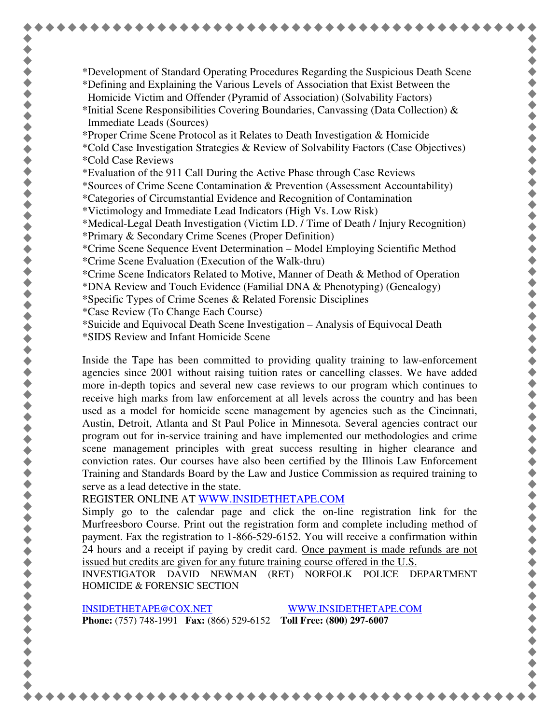\*Development of Standard Operating Procedures Regarding the Suspicious Death Scene \*Defining and Explaining the Various Levels of Association that Exist Between the Homicide Victim and Offender (Pyramid of Association) (Solvability Factors) \*Initial Scene Responsibilities Covering Boundaries, Canvassing (Data Collection) & Immediate Leads (Sources) \*Proper Crime Scene Protocol as it Relates to Death Investigation & Homicide \*Cold Case Investigation Strategies & Review of Solvability Factors (Case Objectives) \*Cold Case Reviews \*Evaluation of the 911 Call During the Active Phase through Case Reviews \*Sources of Crime Scene Contamination & Prevention (Assessment Accountability) \*Categories of Circumstantial Evidence and Recognition of Contamination \*Victimology and Immediate Lead Indicators (High Vs. Low Risk) \*Medical-Legal Death Investigation (Victim I.D. / Time of Death / Injury Recognition) \*Primary & Secondary Crime Scenes (Proper Definition) \*Crime Scene Sequence Event Determination – Model Employing Scientific Method \*Crime Scene Evaluation (Execution of the Walk-thru) \*Crime Scene Indicators Related to Motive, Manner of Death & Method of Operation \*DNA Review and Touch Evidence (Familial DNA & Phenotyping) (Genealogy) \*Specific Types of Crime Scenes & Related Forensic Disciplines \*Case Review (To Change Each Course) \*Suicide and Equivocal Death Scene Investigation – Analysis of Equivocal Death \*SIDS Review and Infant Homicide Scene

Inside the Tape has been committed to providing quality training to law-enforcement agencies since 2001 without raising tuition rates or cancelling classes. We have added more in-depth topics and several new case reviews to our program which continues to receive high marks from law enforcement at all levels across the country and has been used as a model for homicide scene management by agencies such as the Cincinnati, Austin, Detroit, Atlanta and St Paul Police in Minnesota. Several agencies contract our program out for in-service training and have implemented our methodologies and crime scene management principles with great success resulting in higher clearance and conviction rates. Our courses have also been certified by the Illinois Law Enforcement Training and Standards Board by the Law and Justice Commission as required training to serve as a lead detective in the state.

REGISTER ONLINE AT WWW.INSIDETHETAPE.COM

Simply go to the calendar page and click the on-line registration link for the Murfreesboro Course. Print out the registration form and complete including method of payment. Fax the registration to 1-866-529-6152. You will receive a confirmation within 24 hours and a receipt if paying by credit card. Once payment is made refunds are not issued but credits are given for any future training course offered in the U.S.

INVESTIGATOR DAVID NEWMAN (RET) NORFOLK POLICE DEPARTMENT HOMICIDE & FORENSIC SECTION

INSIDETHETAPE@COX.NET WWW.INSIDETHETAPE.COM **Phone:** (757) 748-1991 **Fax:** (866) 529-6152 **Toll Free: (800) 297-6007** 

+++++++++++++++++++++++++++++++